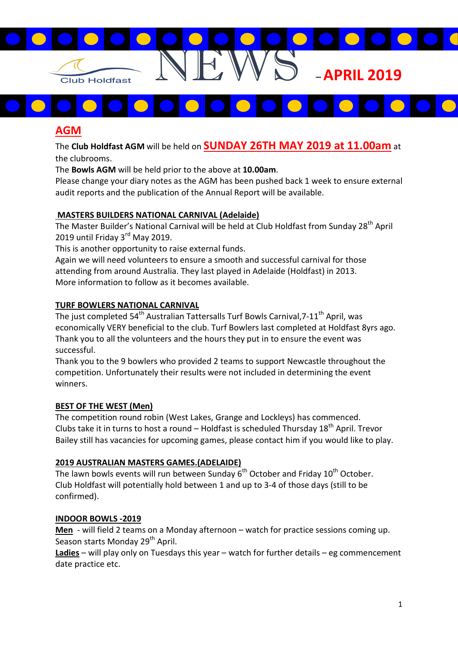

# AGM

The Club Holdfast AGM will be held on SUNDAY 26TH MAY 2019 at 11.00am at the clubrooms.

The Bowls AGM will be held prior to the above at 10.00am.

Please change your diary notes as the AGM has been pushed back 1 week to ensure external audit reports and the publication of the Annual Report will be available.

### MASTERS BUILDERS NATIONAL CARNIVAL (Adelaide)

The Master Builder's National Carnival will be held at Club Holdfast from Sunday 28<sup>th</sup> April 2019 until Friday 3<sup>rd</sup> May 2019.

This is another opportunity to raise external funds.

Again we will need volunteers to ensure a smooth and successful carnival for those attending from around Australia. They last played in Adelaide (Holdfast) in 2013. More information to follow as it becomes available.

### TURF BOWLERS NATIONAL CARNIVAL

The just completed  $54<sup>th</sup>$  Australian Tattersalls Turf Bowls Carnival,  $7-11<sup>th</sup>$  April, was economically VERY beneficial to the club. Turf Bowlers last completed at Holdfast 8yrs ago. Thank you to all the volunteers and the hours they put in to ensure the event was successful.

Thank you to the 9 bowlers who provided 2 teams to support Newcastle throughout the competition. Unfortunately their results were not included in determining the event winners.

### BEST OF THE WEST (Men)

The competition round robin (West Lakes, Grange and Lockleys) has commenced. Clubs take it in turns to host a round – Holdfast is scheduled Thursday  $18<sup>th</sup>$  April. Trevor Bailey still has vacancies for upcoming games, please contact him if you would like to play.

### 2019 AUSTRALIAN MASTERS GAMES.(ADELAIDE)

The lawn bowls events will run between Sunday 6<sup>th</sup> October and Friday 10<sup>th</sup> October. Club Holdfast will potentially hold between 1 and up to 3-4 of those days (still to be confirmed).

### INDOOR BOWLS -2019

Men - will field 2 teams on a Monday afternoon – watch for practice sessions coming up. Season starts Monday 29<sup>th</sup> April.

Ladies - will play only on Tuesdays this year - watch for further details - eg commencement date practice etc.